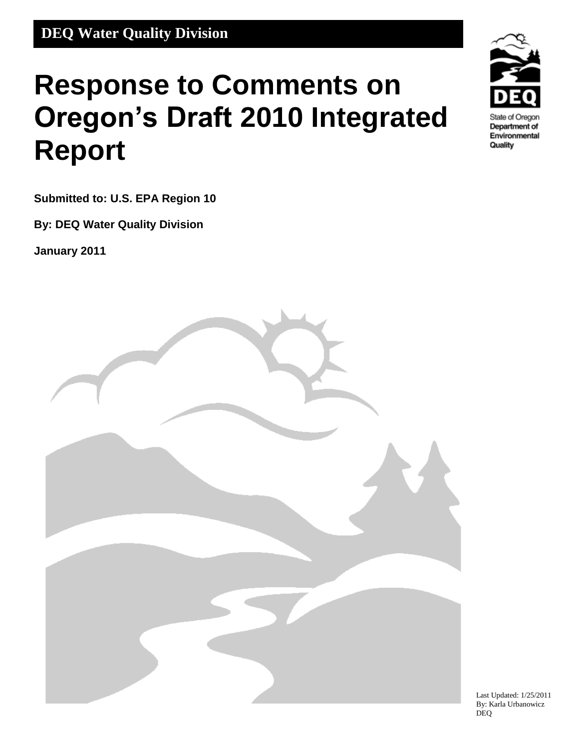# **Response to Comments on Oregon's Draft 2010 Integrated Report**

**Submitted to: U.S. EPA Region 10**

**By: DEQ Water Quality Division**

**January 2011**



State of Oregon Department of Environmental Quality

Last Updated: 1/25/2011 By: Karla Urbanowicz DEQ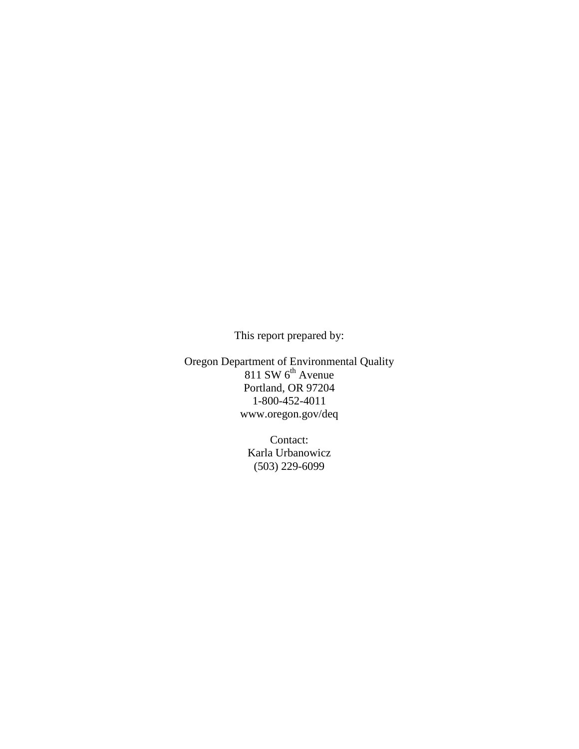This report prepared by:

Oregon Department of Environmental Quality  $811$  SW  $6<sup>th</sup>$  Avenue Portland, OR 97204 1-800-452-4011 www.oregon.gov/deq

> Contact: Karla Urbanowicz (503) 229-6099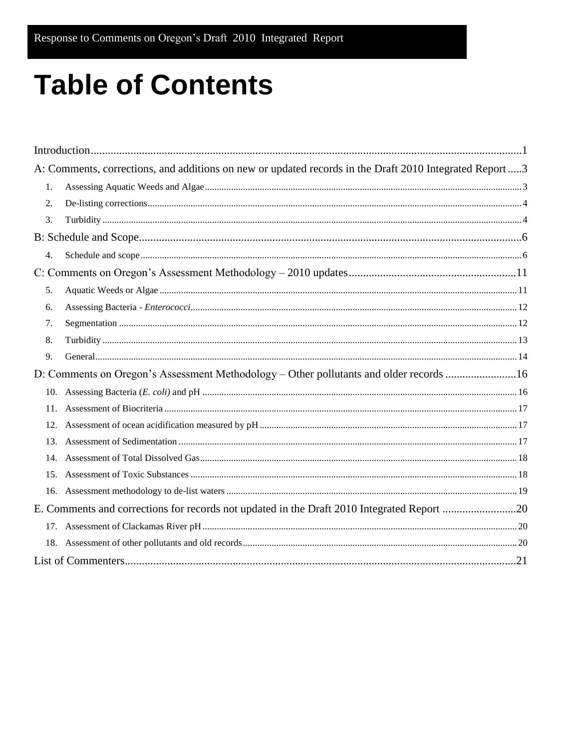# **Table of Contents**

|    | A: Comments, corrections, and additions on new or updated records in the Draft 2010 Integrated Report 3 |  |
|----|---------------------------------------------------------------------------------------------------------|--|
| 1. |                                                                                                         |  |
| 2. |                                                                                                         |  |
| 3. |                                                                                                         |  |
|    |                                                                                                         |  |
| 4. |                                                                                                         |  |
|    |                                                                                                         |  |
| 5. |                                                                                                         |  |
| 6. |                                                                                                         |  |
| 7. |                                                                                                         |  |
| 8. |                                                                                                         |  |
| 9. |                                                                                                         |  |
|    | D: Comments on Oregon's Assessment Methodology – Other pollutants and older records 16                  |  |
|    |                                                                                                         |  |
|    |                                                                                                         |  |
|    |                                                                                                         |  |
|    |                                                                                                         |  |
|    |                                                                                                         |  |
|    |                                                                                                         |  |
|    |                                                                                                         |  |
|    |                                                                                                         |  |
|    |                                                                                                         |  |
|    |                                                                                                         |  |
|    |                                                                                                         |  |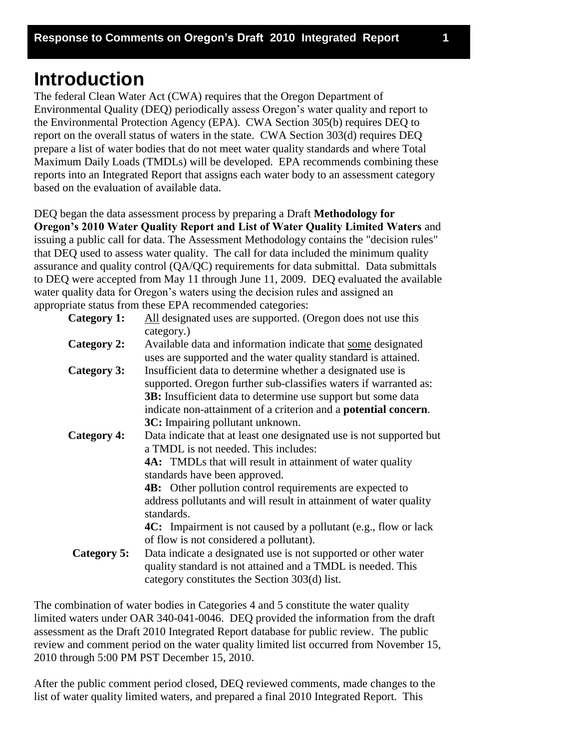### <span id="page-3-0"></span>**Introduction**

The federal Clean Water Act (CWA) requires that the Oregon Department of Environmental Quality (DEQ) periodically assess Oregon's water quality and report to the Environmental Protection Agency (EPA). CWA Section 305(b) requires DEQ to report on the overall status of waters in the state. CWA Section 303(d) requires DEQ prepare a list of water bodies that do not meet water quality standards and where Total Maximum Daily Loads (TMDLs) will be developed. EPA recommends combining these reports into an Integrated Report that assigns each water body to an assessment category based on the evaluation of available data.

DEQ began the data assessment process by preparing a Draft **Methodology for Oregon's 2010 Water Quality Report and List of Water Quality Limited Waters** and issuing a public call for data. The Assessment Methodology contains the "decision rules" that DEQ used to assess water quality. The call for data included the minimum quality assurance and quality control (QA/QC) requirements for data submittal. Data submittals to DEQ were accepted from May 11 through June 11, 2009. DEQ evaluated the available water quality data for Oregon's waters using the decision rules and assigned an appropriate status from these EPA recommended categories:

| Category 1: | All designated uses are supported. (Oregon does not use this<br>category.)                                                                                                                                                                                                                                                                                                                                                                                                                  |  |  |
|-------------|---------------------------------------------------------------------------------------------------------------------------------------------------------------------------------------------------------------------------------------------------------------------------------------------------------------------------------------------------------------------------------------------------------------------------------------------------------------------------------------------|--|--|
| Category 2: | Available data and information indicate that some designated<br>uses are supported and the water quality standard is attained.                                                                                                                                                                                                                                                                                                                                                              |  |  |
| Category 3: | Insufficient data to determine whether a designated use is<br>supported. Oregon further sub-classifies waters if warranted as:<br>3B: Insufficient data to determine use support but some data<br>indicate non-attainment of a criterion and a <b>potential concern</b> .<br><b>3C:</b> Impairing pollutant unknown.                                                                                                                                                                        |  |  |
| Category 4: | Data indicate that at least one designated use is not supported but<br>a TMDL is not needed. This includes:<br><b>4A:</b> TMDLs that will result in attainment of water quality<br>standards have been approved.<br><b>4B:</b> Other pollution control requirements are expected to<br>address pollutants and will result in attainment of water quality<br>standards.<br><b>4C:</b> Impairment is not caused by a pollutant (e.g., flow or lack<br>of flow is not considered a pollutant). |  |  |
| Category 5: | Data indicate a designated use is not supported or other water<br>quality standard is not attained and a TMDL is needed. This<br>category constitutes the Section 303(d) list.                                                                                                                                                                                                                                                                                                              |  |  |

The combination of water bodies in Categories 4 and 5 constitute the water quality limited waters under OAR 340-041-0046. DEQ provided the information from the draft assessment as the Draft 2010 Integrated Report database for public review. The public review and comment period on the water quality limited list occurred from November 15, 2010 through 5:00 PM PST December 15, 2010.

After the public comment period closed, DEQ reviewed comments, made changes to the list of water quality limited waters, and prepared a final 2010 Integrated Report. This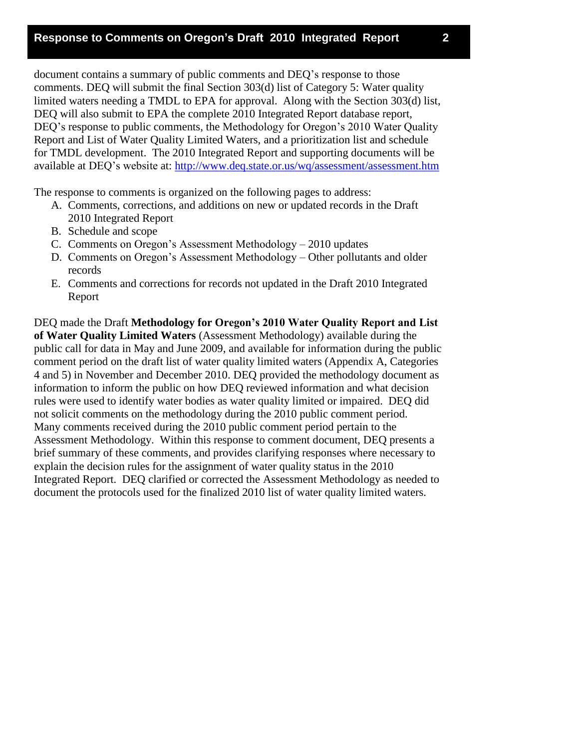document contains a summary of public comments and DEQ's response to those comments. DEQ will submit the final Section 303(d) list of Category 5: Water quality limited waters needing a TMDL to EPA for approval. Along with the Section 303(d) list, DEQ will also submit to EPA the complete 2010 Integrated Report database report, DEQ's response to public comments, the Methodology for Oregon's 2010 Water Quality Report and List of Water Quality Limited Waters, and a prioritization list and schedule for TMDL development. The 2010 Integrated Report and supporting documents will be available at DEQ's website at:<http://www.deq.state.or.us/wq/assessment/assessment.htm>

The response to comments is organized on the following pages to address:

- A. Comments, corrections, and additions on new or updated records in the Draft 2010 Integrated Report
- B. Schedule and scope
- C. Comments on Oregon's Assessment Methodology 2010 updates
- D. Comments on Oregon's Assessment Methodology Other pollutants and older records
- E. Comments and corrections for records not updated in the Draft 2010 Integrated Report

DEQ made the Draft **Methodology for Oregon's 2010 Water Quality Report and List of Water Quality Limited Waters** (Assessment Methodology) available during the public call for data in May and June 2009, and available for information during the public comment period on the draft list of water quality limited waters (Appendix A, Categories 4 and 5) in November and December 2010. DEQ provided the methodology document as information to inform the public on how DEQ reviewed information and what decision rules were used to identify water bodies as water quality limited or impaired. DEQ did not solicit comments on the methodology during the 2010 public comment period. Many comments received during the 2010 public comment period pertain to the Assessment Methodology. Within this response to comment document, DEQ presents a brief summary of these comments, and provides clarifying responses where necessary to explain the decision rules for the assignment of water quality status in the 2010 Integrated Report. DEQ clarified or corrected the Assessment Methodology as needed to document the protocols used for the finalized 2010 list of water quality limited waters.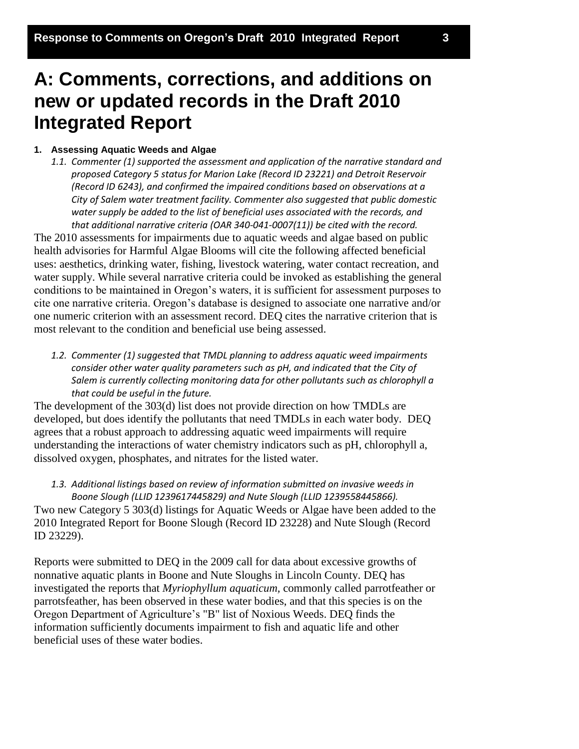# <span id="page-5-0"></span>**A: Comments, corrections, and additions on new or updated records in the Draft 2010 Integrated Report**

#### <span id="page-5-1"></span>**1. Assessing Aquatic Weeds and Algae**

*1.1. Commenter (1) supported the assessment and application of the narrative standard and proposed Category 5 status for Marion Lake (Record ID 23221) and Detroit Reservoir (Record ID 6243), and confirmed the impaired conditions based on observations at a City of Salem water treatment facility. Commenter also suggested that public domestic water supply be added to the list of beneficial uses associated with the records, and that additional narrative criteria (OAR 340-041-0007(11)) be cited with the record.*

The 2010 assessments for impairments due to aquatic weeds and algae based on public health advisories for Harmful Algae Blooms will cite the following affected beneficial uses: aesthetics, drinking water, fishing, livestock watering, water contact recreation, and water supply. While several narrative criteria could be invoked as establishing the general conditions to be maintained in Oregon's waters, it is sufficient for assessment purposes to cite one narrative criteria. Oregon's database is designed to associate one narrative and/or one numeric criterion with an assessment record. DEQ cites the narrative criterion that is most relevant to the condition and beneficial use being assessed.

*1.2. Commenter (1) suggested that TMDL planning to address aquatic weed impairments consider other water quality parameters such as pH, and indicated that the City of Salem is currently collecting monitoring data for other pollutants such as chlorophyll a that could be useful in the future.*

The development of the 303(d) list does not provide direction on how TMDLs are developed, but does identify the pollutants that need TMDLs in each water body. DEQ agrees that a robust approach to addressing aquatic weed impairments will require understanding the interactions of water chemistry indicators such as pH, chlorophyll a, dissolved oxygen, phosphates, and nitrates for the listed water.

*1.3. Additional listings based on review of information submitted on invasive weeds in Boone Slough (LLID 1239617445829) and Nute Slough (LLID 1239558445866).* Two new Category 5 303(d) listings for Aquatic Weeds or Algae have been added to the 2010 Integrated Report for Boone Slough (Record ID 23228) and Nute Slough (Record ID 23229).

Reports were submitted to DEQ in the 2009 call for data about excessive growths of nonnative aquatic plants in Boone and Nute Sloughs in Lincoln County. DEQ has investigated the reports that *Myriophyllum aquaticum,* commonly called parrotfeather or parrotsfeather, has been observed in these water bodies, and that this species is on the Oregon Department of Agriculture's "B" list of Noxious Weeds. DEQ finds the information sufficiently documents impairment to fish and aquatic life and other beneficial uses of these water bodies.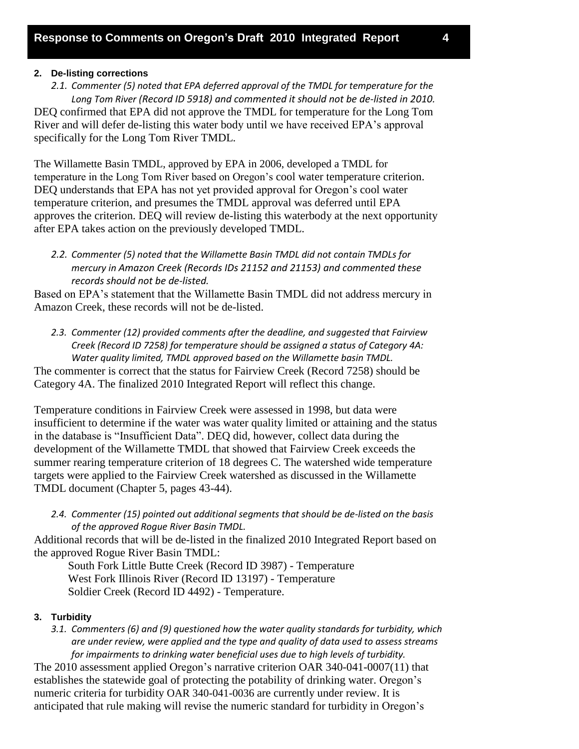#### <span id="page-6-0"></span>**2. De-listing corrections**

*2.1. Commenter (5) noted that EPA deferred approval of the TMDL for temperature for the Long Tom River (Record ID 5918) and commented it should not be de-listed in 2010.* DEQ confirmed that EPA did not approve the TMDL for temperature for the Long Tom River and will defer de-listing this water body until we have received EPA's approval specifically for the Long Tom River TMDL.

The Willamette Basin TMDL, approved by EPA in 2006, developed a TMDL for temperature in the Long Tom River based on Oregon's cool water temperature criterion. DEQ understands that EPA has not yet provided approval for Oregon's cool water temperature criterion, and presumes the TMDL approval was deferred until EPA approves the criterion. DEQ will review de-listing this waterbody at the next opportunity after EPA takes action on the previously developed TMDL.

#### *2.2. Commenter (5) noted that the Willamette Basin TMDL did not contain TMDLs for mercury in Amazon Creek (Records IDs 21152 and 21153) and commented these records should not be de-listed.*

Based on EPA's statement that the Willamette Basin TMDL did not address mercury in Amazon Creek, these records will not be de-listed.

*2.3. Commenter (12) provided comments after the deadline, and suggested that Fairview Creek (Record ID 7258) for temperature should be assigned a status of Category 4A: Water quality limited, TMDL approved based on the Willamette basin TMDL.*

The commenter is correct that the status for Fairview Creek (Record 7258) should be Category 4A. The finalized 2010 Integrated Report will reflect this change.

Temperature conditions in Fairview Creek were assessed in 1998, but data were insufficient to determine if the water was water quality limited or attaining and the status in the database is "Insufficient Data". DEQ did, however, collect data during the development of the Willamette TMDL that showed that Fairview Creek exceeds the summer rearing temperature criterion of 18 degrees C. The watershed wide temperature targets were applied to the Fairview Creek watershed as discussed in the Willamette TMDL document (Chapter 5, pages 43-44).

*2.4. Commenter (15) pointed out additional segments that should be de-listed on the basis of the approved Rogue River Basin TMDL.*

Additional records that will be de-listed in the finalized 2010 Integrated Report based on the approved Rogue River Basin TMDL:

South Fork Little Butte Creek (Record ID 3987) - Temperature West Fork Illinois River (Record ID 13197) - Temperature Soldier Creek (Record ID 4492) - Temperature.

#### <span id="page-6-1"></span>**3. Turbidity**

*3.1. Commenters (6) and (9) questioned how the water quality standards for turbidity, which are under review, were applied and the type and quality of data used to assess streams for impairments to drinking water beneficial uses due to high levels of turbidity.*

The 2010 assessment applied Oregon's narrative criterion OAR 340-041-0007(11) that establishes the statewide goal of protecting the potability of drinking water. Oregon's numeric criteria for turbidity OAR 340-041-0036 are currently under review. It is anticipated that rule making will revise the numeric standard for turbidity in Oregon's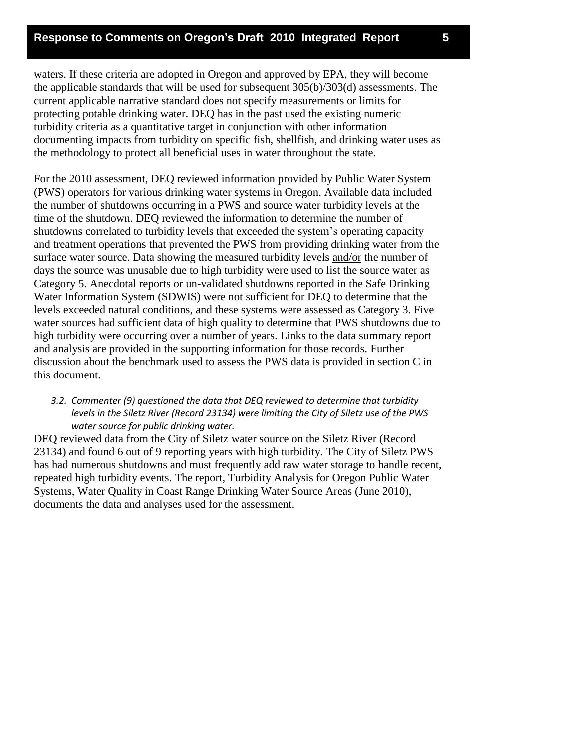waters. If these criteria are adopted in Oregon and approved by EPA, they will become the applicable standards that will be used for subsequent 305(b)/303(d) assessments. The current applicable narrative standard does not specify measurements or limits for protecting potable drinking water. DEQ has in the past used the existing numeric turbidity criteria as a quantitative target in conjunction with other information documenting impacts from turbidity on specific fish, shellfish, and drinking water uses as the methodology to protect all beneficial uses in water throughout the state.

For the 2010 assessment, DEQ reviewed information provided by Public Water System (PWS) operators for various drinking water systems in Oregon. Available data included the number of shutdowns occurring in a PWS and source water turbidity levels at the time of the shutdown. DEQ reviewed the information to determine the number of shutdowns correlated to turbidity levels that exceeded the system's operating capacity and treatment operations that prevented the PWS from providing drinking water from the surface water source. Data showing the measured turbidity levels and/or the number of days the source was unusable due to high turbidity were used to list the source water as Category 5. Anecdotal reports or un-validated shutdowns reported in the Safe Drinking Water Information System (SDWIS) were not sufficient for DEQ to determine that the levels exceeded natural conditions, and these systems were assessed as Category 3. Five water sources had sufficient data of high quality to determine that PWS shutdowns due to high turbidity were occurring over a number of years. Links to the data summary report and analysis are provided in the supporting information for those records. Further discussion about the benchmark used to assess the PWS data is provided in section C in this document.

*3.2. Commenter (9) questioned the data that DEQ reviewed to determine that turbidity levels in the Siletz River (Record 23134) were limiting the City of Siletz use of the PWS water source for public drinking water.*

DEQ reviewed data from the City of Siletz water source on the Siletz River (Record 23134) and found 6 out of 9 reporting years with high turbidity. The City of Siletz PWS has had numerous shutdowns and must frequently add raw water storage to handle recent, repeated high turbidity events. The report, Turbidity Analysis for Oregon Public Water Systems, Water Quality in Coast Range Drinking Water Source Areas (June 2010), documents the data and analyses used for the assessment.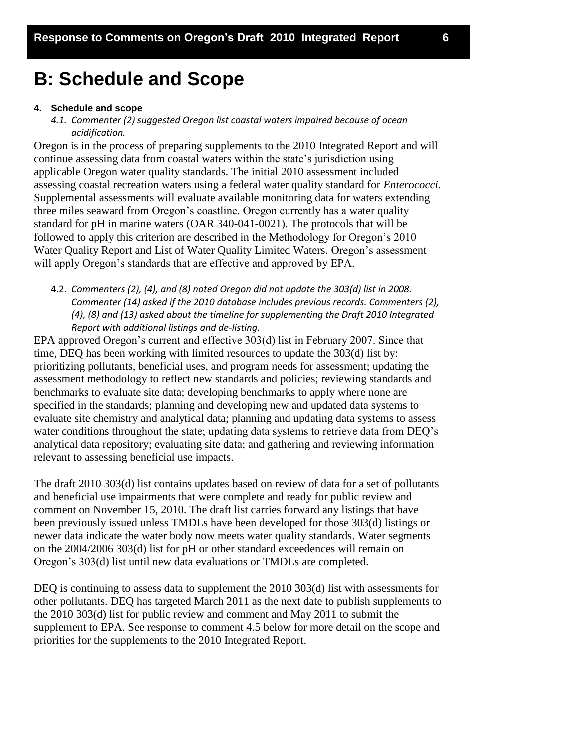### <span id="page-8-0"></span>**B: Schedule and Scope**

#### <span id="page-8-1"></span>**4. Schedule and scope**

*4.1. Commenter (2) suggested Oregon list coastal waters impaired because of ocean acidification.*

Oregon is in the process of preparing supplements to the 2010 Integrated Report and will continue assessing data from coastal waters within the state's jurisdiction using applicable Oregon water quality standards. The initial 2010 assessment included assessing coastal recreation waters using a federal water quality standard for *Enterococci*. Supplemental assessments will evaluate available monitoring data for waters extending three miles seaward from Oregon's coastline. Oregon currently has a water quality standard for pH in marine waters (OAR 340-041-0021). The protocols that will be followed to apply this criterion are described in the Methodology for Oregon's 2010 Water Quality Report and List of Water Quality Limited Waters. Oregon's assessment will apply Oregon's standards that are effective and approved by EPA.

4.2. *Commenters (2), (4), and (8) noted Oregon did not update the 303(d) list in 2008. Commenter (14) asked if the 2010 database includes previous records. Commenters (2), (4), (8) and (13) asked about the timeline for supplementing the Draft 2010 Integrated Report with additional listings and de-listing.*

EPA approved Oregon's current and effective 303(d) list in February 2007. Since that time, DEQ has been working with limited resources to update the 303(d) list by: prioritizing pollutants, beneficial uses, and program needs for assessment; updating the assessment methodology to reflect new standards and policies; reviewing standards and benchmarks to evaluate site data; developing benchmarks to apply where none are specified in the standards; planning and developing new and updated data systems to evaluate site chemistry and analytical data; planning and updating data systems to assess water conditions throughout the state; updating data systems to retrieve data from DEQ's analytical data repository; evaluating site data; and gathering and reviewing information relevant to assessing beneficial use impacts.

The draft 2010 303(d) list contains updates based on review of data for a set of pollutants and beneficial use impairments that were complete and ready for public review and comment on November 15, 2010. The draft list carries forward any listings that have been previously issued unless TMDLs have been developed for those 303(d) listings or newer data indicate the water body now meets water quality standards. Water segments on the 2004/2006 303(d) list for pH or other standard exceedences will remain on Oregon's 303(d) list until new data evaluations or TMDLs are completed.

DEQ is continuing to assess data to supplement the 2010 303(d) list with assessments for other pollutants. DEQ has targeted March 2011 as the next date to publish supplements to the 2010 303(d) list for public review and comment and May 2011 to submit the supplement to EPA. See response to comment 4.5 below for more detail on the scope and priorities for the supplements to the 2010 Integrated Report.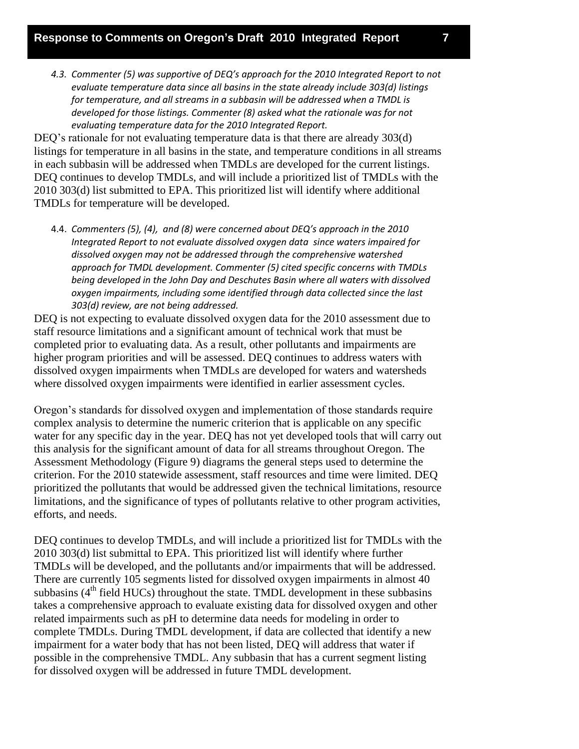*4.3. Commenter (5) was supportive of DEQ's approach for the 2010 Integrated Report to not evaluate temperature data since all basins in the state already include 303(d) listings for temperature, and all streams in a subbasin will be addressed when a TMDL is developed for those listings. Commenter (8) asked what the rationale was for not evaluating temperature data for the 2010 Integrated Report.*

DEQ's rationale for not evaluating temperature data is that there are already 303(d) listings for temperature in all basins in the state, and temperature conditions in all streams in each subbasin will be addressed when TMDLs are developed for the current listings. DEQ continues to develop TMDLs, and will include a prioritized list of TMDLs with the 2010 303(d) list submitted to EPA. This prioritized list will identify where additional TMDLs for temperature will be developed.

4.4. *Commenters (5), (4), and (8) were concerned about DEQ's approach in the 2010 Integrated Report to not evaluate dissolved oxygen data since waters impaired for dissolved oxygen may not be addressed through the comprehensive watershed approach for TMDL development. Commenter (5) cited specific concerns with TMDLs being developed in the John Day and Deschutes Basin where all waters with dissolved oxygen impairments, including some identified through data collected since the last 303(d) review, are not being addressed.*

DEQ is not expecting to evaluate dissolved oxygen data for the 2010 assessment due to staff resource limitations and a significant amount of technical work that must be completed prior to evaluating data. As a result, other pollutants and impairments are higher program priorities and will be assessed. DEQ continues to address waters with dissolved oxygen impairments when TMDLs are developed for waters and watersheds where dissolved oxygen impairments were identified in earlier assessment cycles.

Oregon's standards for dissolved oxygen and implementation of those standards require complex analysis to determine the numeric criterion that is applicable on any specific water for any specific day in the year. DEQ has not yet developed tools that will carry out this analysis for the significant amount of data for all streams throughout Oregon. The Assessment Methodology (Figure 9) diagrams the general steps used to determine the criterion. For the 2010 statewide assessment, staff resources and time were limited. DEQ prioritized the pollutants that would be addressed given the technical limitations, resource limitations, and the significance of types of pollutants relative to other program activities, efforts, and needs.

DEQ continues to develop TMDLs, and will include a prioritized list for TMDLs with the 2010 303(d) list submittal to EPA. This prioritized list will identify where further TMDLs will be developed, and the pollutants and/or impairments that will be addressed. There are currently 105 segments listed for dissolved oxygen impairments in almost 40 subbasins  $(4<sup>th</sup>$  field HUCs) throughout the state. TMDL development in these subbasins takes a comprehensive approach to evaluate existing data for dissolved oxygen and other related impairments such as pH to determine data needs for modeling in order to complete TMDLs. During TMDL development, if data are collected that identify a new impairment for a water body that has not been listed, DEQ will address that water if possible in the comprehensive TMDL. Any subbasin that has a current segment listing for dissolved oxygen will be addressed in future TMDL development.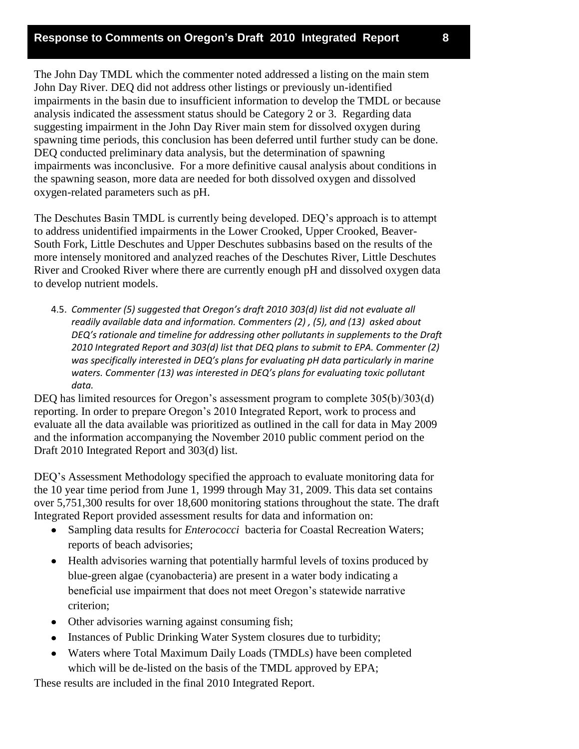The John Day TMDL which the commenter noted addressed a listing on the main stem John Day River. DEQ did not address other listings or previously un-identified impairments in the basin due to insufficient information to develop the TMDL or because analysis indicated the assessment status should be Category 2 or 3. Regarding data suggesting impairment in the John Day River main stem for dissolved oxygen during spawning time periods, this conclusion has been deferred until further study can be done. DEQ conducted preliminary data analysis, but the determination of spawning impairments was inconclusive. For a more definitive causal analysis about conditions in the spawning season, more data are needed for both dissolved oxygen and dissolved oxygen-related parameters such as pH.

The Deschutes Basin TMDL is currently being developed. DEQ's approach is to attempt to address unidentified impairments in the Lower Crooked, Upper Crooked, Beaver-South Fork, Little Deschutes and Upper Deschutes subbasins based on the results of the more intensely monitored and analyzed reaches of the Deschutes River, Little Deschutes River and Crooked River where there are currently enough pH and dissolved oxygen data to develop nutrient models.

4.5. *Commenter (5) suggested that Oregon's draft 2010 303(d) list did not evaluate all readily available data and information. Commenters (2) , (5), and (13) asked about DEQ's rationale and timeline for addressing other pollutants in supplements to the Draft 2010 Integrated Report and 303(d) list that DEQ plans to submit to EPA. Commenter (2) was specifically interested in DEQ's plans for evaluating pH data particularly in marine waters. Commenter (13) was interested in DEQ's plans for evaluating toxic pollutant data.*

DEQ has limited resources for Oregon's assessment program to complete 305(b)/303(d) reporting. In order to prepare Oregon's 2010 Integrated Report, work to process and evaluate all the data available was prioritized as outlined in the call for data in May 2009 and the information accompanying the November 2010 public comment period on the Draft 2010 Integrated Report and 303(d) list.

DEQ's Assessment Methodology specified the approach to evaluate monitoring data for the 10 year time period from June 1, 1999 through May 31, 2009. This data set contains over 5,751,300 results for over 18,600 monitoring stations throughout the state. The draft Integrated Report provided assessment results for data and information on:

- Sampling data results for *Enterococci* bacteria for Coastal Recreation Waters; reports of beach advisories;
- Health advisories warning that potentially harmful levels of toxins produced by blue-green algae (cyanobacteria) are present in a water body indicating a beneficial use impairment that does not meet Oregon's statewide narrative criterion;
- Other advisories warning against consuming fish;
- Instances of Public Drinking Water System closures due to turbidity;
- Waters where Total Maximum Daily Loads (TMDLs) have been completed which will be de-listed on the basis of the TMDL approved by EPA;

These results are included in the final 2010 Integrated Report.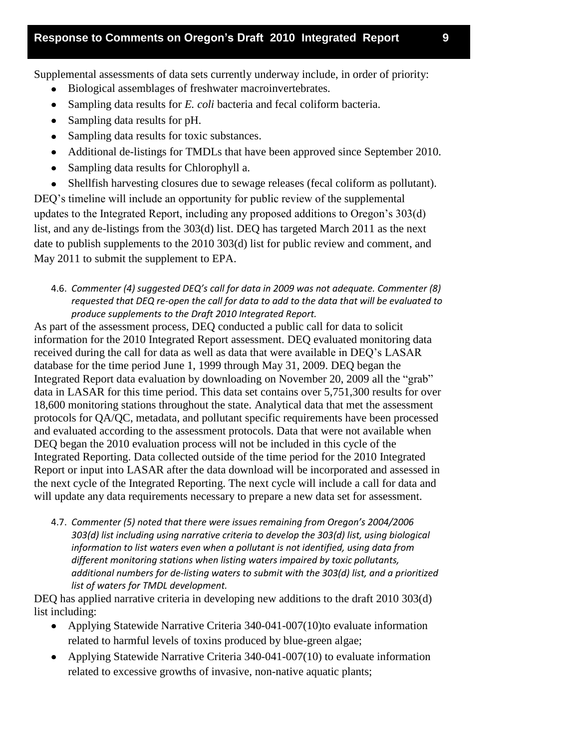Supplemental assessments of data sets currently underway include, in order of priority:

- Biological assemblages of freshwater macroinvertebrates.
- Sampling data results for *E. coli* bacteria and fecal coliform bacteria.  $\bullet$
- Sampling data results for pH.
- Sampling data results for toxic substances.
- Additional de-listings for TMDLs that have been approved since September 2010.
- Sampling data results for Chlorophyll a.
- Shellfish harvesting closures due to sewage releases (fecal coliform as pollutant).

DEQ's timeline will include an opportunity for public review of the supplemental updates to the Integrated Report, including any proposed additions to Oregon's 303(d) list, and any de-listings from the 303(d) list. DEQ has targeted March 2011 as the next date to publish supplements to the 2010 303(d) list for public review and comment, and May 2011 to submit the supplement to EPA.

#### 4.6. *Commenter (4) suggested DEQ's call for data in 2009 was not adequate. Commenter (8) requested that DEQ re-open the call for data to add to the data that will be evaluated to produce supplements to the Draft 2010 Integrated Report.*

As part of the assessment process, DEQ conducted a public call for data to solicit information for the 2010 Integrated Report assessment. DEQ evaluated monitoring data received during the call for data as well as data that were available in DEQ's LASAR database for the time period June 1, 1999 through May 31, 2009. DEQ began the Integrated Report data evaluation by downloading on November 20, 2009 all the "grab" data in LASAR for this time period. This data set contains over 5,751,300 results for over 18,600 monitoring stations throughout the state. Analytical data that met the assessment protocols for QA/QC, metadata, and pollutant specific requirements have been processed and evaluated according to the assessment protocols. Data that were not available when DEQ began the 2010 evaluation process will not be included in this cycle of the Integrated Reporting. Data collected outside of the time period for the 2010 Integrated Report or input into LASAR after the data download will be incorporated and assessed in the next cycle of the Integrated Reporting. The next cycle will include a call for data and will update any data requirements necessary to prepare a new data set for assessment.

4.7. *Commenter (5) noted that there were issues remaining from Oregon's 2004/2006 303(d) list including using narrative criteria to develop the 303(d) list, using biological information to list waters even when a pollutant is not identified, using data from different monitoring stations when listing waters impaired by toxic pollutants, additional numbers for de-listing waters to submit with the 303(d) list, and a prioritized list of waters for TMDL development.* 

DEQ has applied narrative criteria in developing new additions to the draft 2010 303(d) list including:

- Applying Statewide Narrative Criteria 340-041-007(10)to evaluate information related to harmful levels of toxins produced by blue-green algae;
- Applying Statewide Narrative Criteria 340-041-007(10) to evaluate information related to excessive growths of invasive, non-native aquatic plants;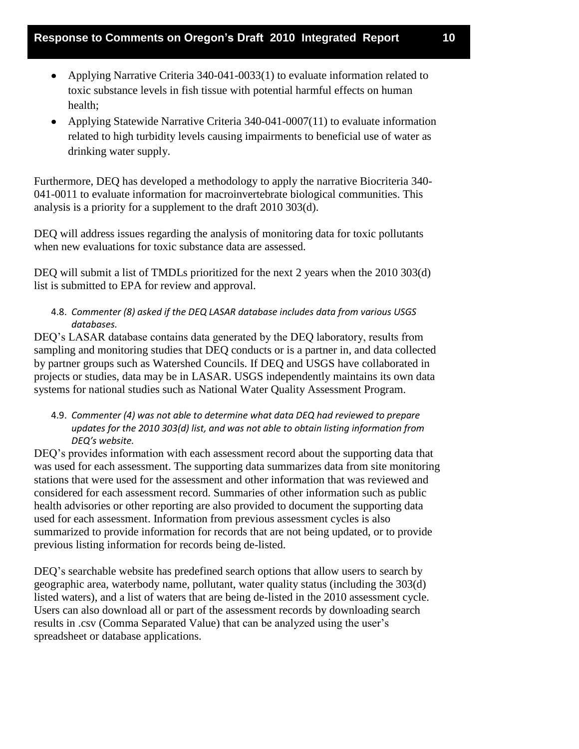- 
- Applying Narrative Criteria 340-041-0033(1) to evaluate information related to  $\bullet$ toxic substance levels in fish tissue with potential harmful effects on human health;
- Applying Statewide Narrative Criteria 340-041-0007(11) to evaluate information related to high turbidity levels causing impairments to beneficial use of water as drinking water supply.

Furthermore, DEQ has developed a methodology to apply the narrative Biocriteria 340- 041-0011 to evaluate information for macroinvertebrate biological communities. This analysis is a priority for a supplement to the draft 2010 303(d).

DEQ will address issues regarding the analysis of monitoring data for toxic pollutants when new evaluations for toxic substance data are assessed.

DEQ will submit a list of TMDLs prioritized for the next 2 years when the 2010 303(d) list is submitted to EPA for review and approval.

#### 4.8. *Commenter (8) asked if the DEQ LASAR database includes data from various USGS databases.*

DEQ's LASAR database contains data generated by the DEQ laboratory, results from sampling and monitoring studies that DEQ conducts or is a partner in, and data collected by partner groups such as Watershed Councils. If DEQ and USGS have collaborated in projects or studies, data may be in LASAR. USGS independently maintains its own data systems for national studies such as National Water Quality Assessment Program.

4.9. *Commenter (4) was not able to determine what data DEQ had reviewed to prepare updates for the 2010 303(d) list, and was not able to obtain listing information from DEQ's website.*

DEQ's provides information with each assessment record about the supporting data that was used for each assessment. The supporting data summarizes data from site monitoring stations that were used for the assessment and other information that was reviewed and considered for each assessment record. Summaries of other information such as public health advisories or other reporting are also provided to document the supporting data used for each assessment. Information from previous assessment cycles is also summarized to provide information for records that are not being updated, or to provide previous listing information for records being de-listed.

DEQ's searchable website has predefined search options that allow users to search by geographic area, waterbody name, pollutant, water quality status (including the 303(d) listed waters), and a list of waters that are being de-listed in the 2010 assessment cycle. Users can also download all or part of the assessment records by downloading search results in .csv (Comma Separated Value) that can be analyzed using the user's spreadsheet or database applications.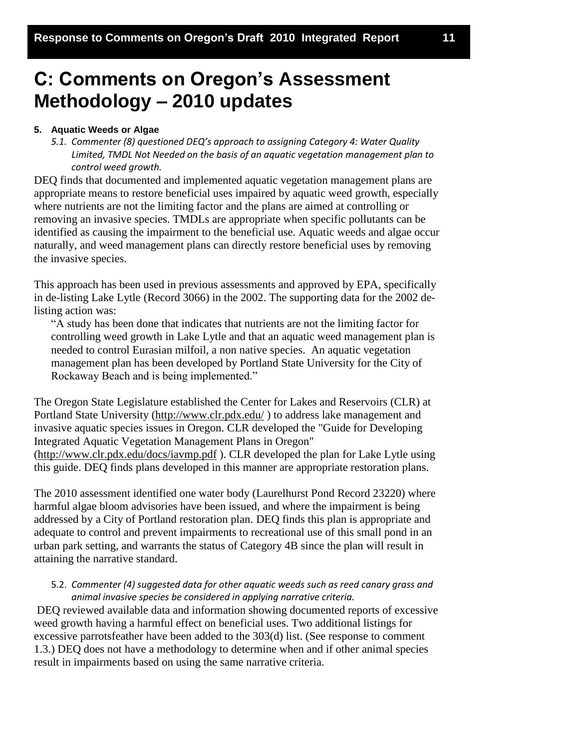## <span id="page-13-0"></span>**C: Comments on Oregon's Assessment Methodology – 2010 updates**

#### <span id="page-13-1"></span>**5. Aquatic Weeds or Algae**

*5.1. Commenter (8) questioned DEQ's approach to assigning Category 4: Water Quality Limited, TMDL Not Needed on the basis of an aquatic vegetation management plan to control weed growth.*

DEQ finds that documented and implemented aquatic vegetation management plans are appropriate means to restore beneficial uses impaired by aquatic weed growth, especially where nutrients are not the limiting factor and the plans are aimed at controlling or removing an invasive species. TMDLs are appropriate when specific pollutants can be identified as causing the impairment to the beneficial use. Aquatic weeds and algae occur naturally, and weed management plans can directly restore beneficial uses by removing the invasive species.

This approach has been used in previous assessments and approved by EPA, specifically in de-listing Lake Lytle (Record 3066) in the 2002. The supporting data for the 2002 delisting action was:

"A study has been done that indicates that nutrients are not the limiting factor for controlling weed growth in Lake Lytle and that an aquatic weed management plan is needed to control Eurasian milfoil, a non native species. An aquatic vegetation management plan has been developed by Portland State University for the City of Rockaway Beach and is being implemented."

The Oregon State Legislature established the Center for Lakes and Reservoirs (CLR) at Portland State University [\(http://www.clr.pdx.edu/](http://www.clr.pdx.edu/) ) to address lake management and invasive aquatic species issues in Oregon. CLR developed the "Guide for Developing Integrated Aquatic Vegetation Management Plans in Oregon" [\(http://www.clr.pdx.edu/docs/iavmp.pdf](http://www.clr.pdx.edu/docs/iavmp.pdf) ). CLR developed the plan for Lake Lytle using this guide. DEQ finds plans developed in this manner are appropriate restoration plans.

The 2010 assessment identified one water body (Laurelhurst Pond Record 23220) where harmful algae bloom advisories have been issued, and where the impairment is being addressed by a City of Portland restoration plan. DEQ finds this plan is appropriate and adequate to control and prevent impairments to recreational use of this small pond in an urban park setting, and warrants the status of Category 4B since the plan will result in attaining the narrative standard.

#### 5.2. *Commenter (4) suggested data for other aquatic weeds such as reed canary grass and animal invasive species be considered in applying narrative criteria.*

DEQ reviewed available data and information showing documented reports of excessive weed growth having a harmful effect on beneficial uses. Two additional listings for excessive parrotsfeather have been added to the 303(d) list. (See response to comment 1.3.) DEQ does not have a methodology to determine when and if other animal species result in impairments based on using the same narrative criteria.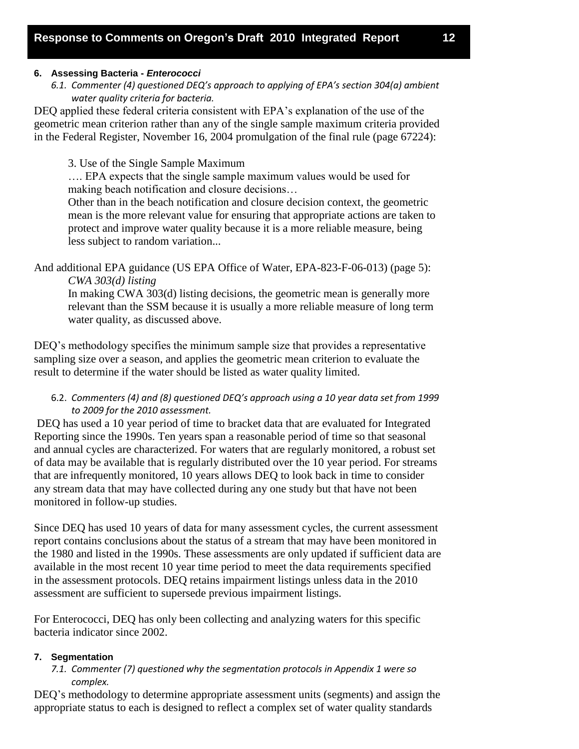#### <span id="page-14-0"></span>**6. Assessing Bacteria -** *Enterococci*

*6.1. Commenter (4) questioned DEQ's approach to applying of EPA's section 304(a) ambient water quality criteria for bacteria.*

DEQ applied these federal criteria consistent with EPA's explanation of the use of the geometric mean criterion rather than any of the single sample maximum criteria provided in the Federal Register, November 16, 2004 promulgation of the final rule (page 67224):

3. Use of the Single Sample Maximum

…. EPA expects that the single sample maximum values would be used for making beach notification and closure decisions…

Other than in the beach notification and closure decision context, the geometric mean is the more relevant value for ensuring that appropriate actions are taken to protect and improve water quality because it is a more reliable measure, being less subject to random variation...

And additional EPA guidance (US EPA Office of Water, EPA-823-F-06-013) (page 5): *CWA 303(d) listing*

In making CWA 303(d) listing decisions, the geometric mean is generally more relevant than the SSM because it is usually a more reliable measure of long term water quality, as discussed above.

DEQ's methodology specifies the minimum sample size that provides a representative sampling size over a season, and applies the geometric mean criterion to evaluate the result to determine if the water should be listed as water quality limited.

#### 6.2. *Commenters (4) and (8) questioned DEQ's approach using a 10 year data set from 1999 to 2009 for the 2010 assessment.*

DEQ has used a 10 year period of time to bracket data that are evaluated for Integrated Reporting since the 1990s. Ten years span a reasonable period of time so that seasonal and annual cycles are characterized. For waters that are regularly monitored, a robust set of data may be available that is regularly distributed over the 10 year period. For streams that are infrequently monitored, 10 years allows DEQ to look back in time to consider any stream data that may have collected during any one study but that have not been monitored in follow-up studies.

Since DEQ has used 10 years of data for many assessment cycles, the current assessment report contains conclusions about the status of a stream that may have been monitored in the 1980 and listed in the 1990s. These assessments are only updated if sufficient data are available in the most recent 10 year time period to meet the data requirements specified in the assessment protocols. DEQ retains impairment listings unless data in the 2010 assessment are sufficient to supersede previous impairment listings.

For Enterococci, DEQ has only been collecting and analyzing waters for this specific bacteria indicator since 2002.

#### <span id="page-14-1"></span>**7. Segmentation**

#### *7.1. Commenter (7) questioned why the segmentation protocols in Appendix 1 were so complex.*

DEQ's methodology to determine appropriate assessment units (segments) and assign the appropriate status to each is designed to reflect a complex set of water quality standards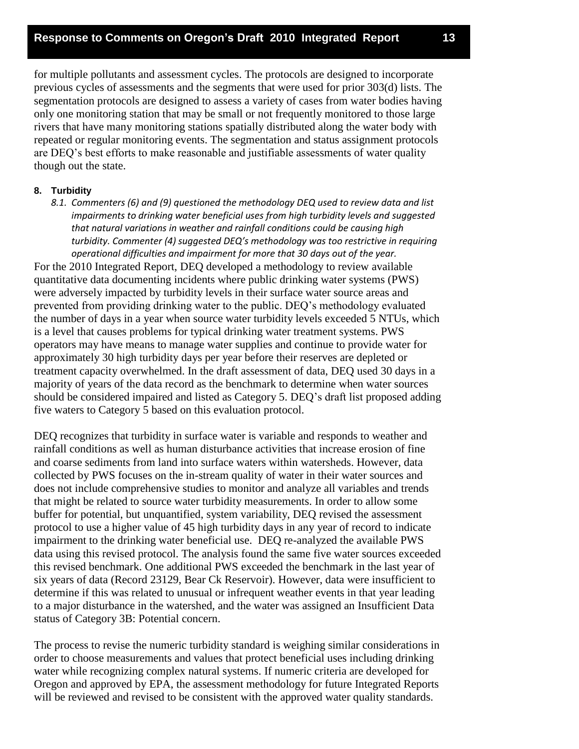for multiple pollutants and assessment cycles. The protocols are designed to incorporate previous cycles of assessments and the segments that were used for prior 303(d) lists. The segmentation protocols are designed to assess a variety of cases from water bodies having only one monitoring station that may be small or not frequently monitored to those large rivers that have many monitoring stations spatially distributed along the water body with repeated or regular monitoring events. The segmentation and status assignment protocols are DEQ's best efforts to make reasonable and justifiable assessments of water quality

#### <span id="page-15-0"></span>**8. Turbidity**

though out the state.

*8.1. Commenters (6) and (9) questioned the methodology DEQ used to review data and list impairments to drinking water beneficial uses from high turbidity levels and suggested that natural variations in weather and rainfall conditions could be causing high turbidity. Commenter (4) suggested DEQ's methodology was too restrictive in requiring operational difficulties and impairment for more that 30 days out of the year.*

For the 2010 Integrated Report, DEQ developed a methodology to review available quantitative data documenting incidents where public drinking water systems (PWS) were adversely impacted by turbidity levels in their surface water source areas and prevented from providing drinking water to the public. DEQ's methodology evaluated the number of days in a year when source water turbidity levels exceeded 5 NTUs, which is a level that causes problems for typical drinking water treatment systems. PWS operators may have means to manage water supplies and continue to provide water for approximately 30 high turbidity days per year before their reserves are depleted or treatment capacity overwhelmed. In the draft assessment of data, DEQ used 30 days in a majority of years of the data record as the benchmark to determine when water sources should be considered impaired and listed as Category 5. DEQ's draft list proposed adding five waters to Category 5 based on this evaluation protocol.

DEQ recognizes that turbidity in surface water is variable and responds to weather and rainfall conditions as well as human disturbance activities that increase erosion of fine and coarse sediments from land into surface waters within watersheds. However, data collected by PWS focuses on the in-stream quality of water in their water sources and does not include comprehensive studies to monitor and analyze all variables and trends that might be related to source water turbidity measurements. In order to allow some buffer for potential, but unquantified, system variability, DEQ revised the assessment protocol to use a higher value of 45 high turbidity days in any year of record to indicate impairment to the drinking water beneficial use. DEQ re-analyzed the available PWS data using this revised protocol. The analysis found the same five water sources exceeded this revised benchmark. One additional PWS exceeded the benchmark in the last year of six years of data (Record 23129, Bear Ck Reservoir). However, data were insufficient to determine if this was related to unusual or infrequent weather events in that year leading to a major disturbance in the watershed, and the water was assigned an Insufficient Data status of Category 3B: Potential concern.

The process to revise the numeric turbidity standard is weighing similar considerations in order to choose measurements and values that protect beneficial uses including drinking water while recognizing complex natural systems. If numeric criteria are developed for Oregon and approved by EPA, the assessment methodology for future Integrated Reports will be reviewed and revised to be consistent with the approved water quality standards.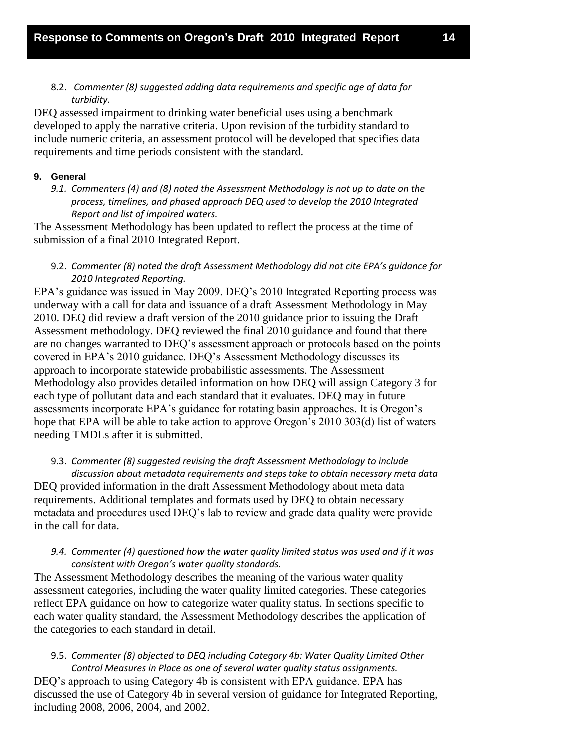8.2. *Commenter (8) suggested adding data requirements and specific age of data for turbidity.*

DEQ assessed impairment to drinking water beneficial uses using a benchmark developed to apply the narrative criteria. Upon revision of the turbidity standard to include numeric criteria, an assessment protocol will be developed that specifies data requirements and time periods consistent with the standard.

#### <span id="page-16-0"></span>**9. General**

*9.1. Commenters (4) and (8) noted the Assessment Methodology is not up to date on the process, timelines, and phased approach DEQ used to develop the 2010 Integrated Report and list of impaired waters.*

The Assessment Methodology has been updated to reflect the process at the time of submission of a final 2010 Integrated Report.

9.2. *Commenter (8) noted the draft Assessment Methodology did not cite EPA's guidance for 2010 Integrated Reporting.*

EPA's guidance was issued in May 2009. DEQ's 2010 Integrated Reporting process was underway with a call for data and issuance of a draft Assessment Methodology in May 2010. DEQ did review a draft version of the 2010 guidance prior to issuing the Draft Assessment methodology. DEQ reviewed the final 2010 guidance and found that there are no changes warranted to DEQ's assessment approach or protocols based on the points covered in EPA's 2010 guidance. DEQ's Assessment Methodology discusses its approach to incorporate statewide probabilistic assessments. The Assessment Methodology also provides detailed information on how DEQ will assign Category 3 for each type of pollutant data and each standard that it evaluates. DEQ may in future assessments incorporate EPA's guidance for rotating basin approaches. It is Oregon's hope that EPA will be able to take action to approve Oregon's 2010 303(d) list of waters needing TMDLs after it is submitted.

9.3. *Commenter (8) suggested revising the draft Assessment Methodology to include discussion about metadata requirements and steps take to obtain necessary meta data* DEQ provided information in the draft Assessment Methodology about meta data requirements. Additional templates and formats used by DEQ to obtain necessary metadata and procedures used DEQ's lab to review and grade data quality were provide in the call for data.

#### *9.4. Commenter (4) questioned how the water quality limited status was used and if it was consistent with Oregon's water quality standards.*

The Assessment Methodology describes the meaning of the various water quality assessment categories, including the water quality limited categories. These categories reflect EPA guidance on how to categorize water quality status. In sections specific to each water quality standard, the Assessment Methodology describes the application of the categories to each standard in detail.

#### 9.5. *Commenter (8) objected to DEQ including Category 4b: Water Quality Limited Other Control Measures in Place as one of several water quality status assignments.*

DEQ's approach to using Category 4b is consistent with EPA guidance. EPA has discussed the use of Category 4b in several version of guidance for Integrated Reporting, including 2008, 2006, 2004, and 2002.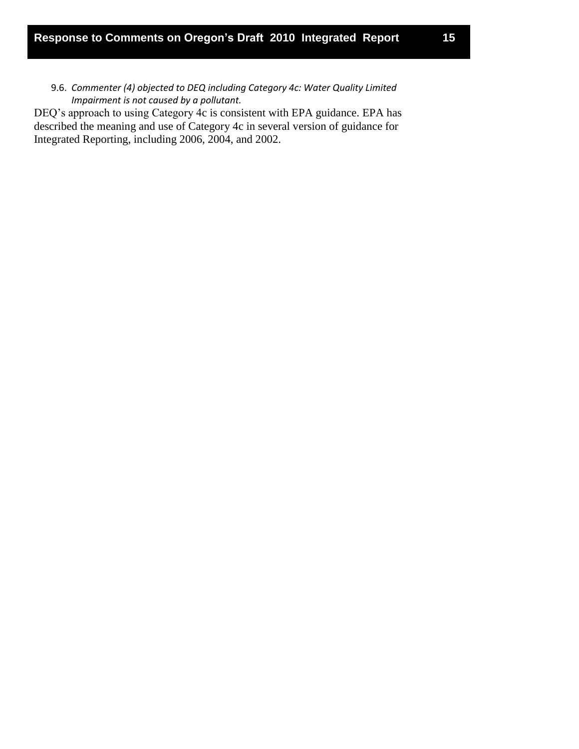9.6. *Commenter (4) objected to DEQ including Category 4c: Water Quality Limited Impairment is not caused by a pollutant.*

DEQ's approach to using Category 4c is consistent with EPA guidance. EPA has described the meaning and use of Category 4c in several version of guidance for Integrated Reporting, including 2006, 2004, and 2002.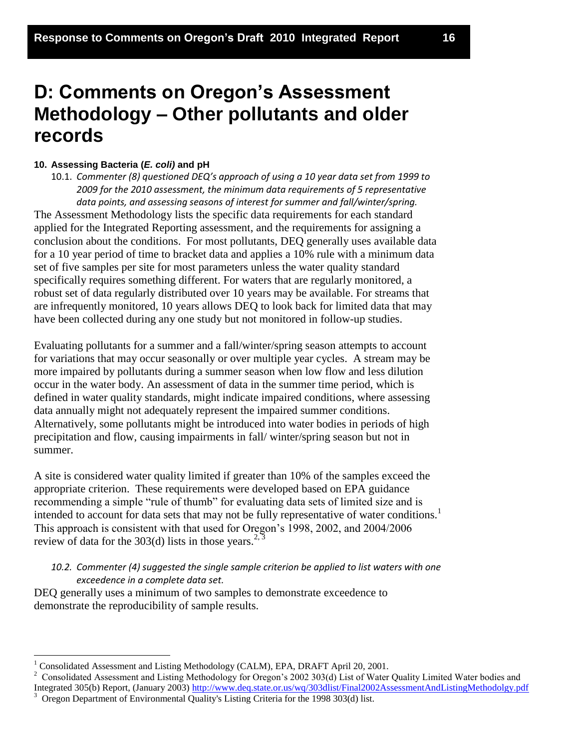# <span id="page-18-0"></span>**D: Comments on Oregon's Assessment Methodology – Other pollutants and older records**

#### <span id="page-18-1"></span>**10. Assessing Bacteria (***E. coli)* **and pH**

10.1. *Commenter (8) questioned DEQ's approach of using a 10 year data set from 1999 to 2009 for the 2010 assessment, the minimum data requirements of 5 representative data points, and assessing seasons of interest for summer and fall/winter/spring.* The Assessment Methodology lists the specific data requirements for each standard applied for the Integrated Reporting assessment, and the requirements for assigning a conclusion about the conditions. For most pollutants, DEQ generally uses available data for a 10 year period of time to bracket data and applies a 10% rule with a minimum data set of five samples per site for most parameters unless the water quality standard specifically requires something different. For waters that are regularly monitored, a robust set of data regularly distributed over 10 years may be available. For streams that are infrequently monitored, 10 years allows DEQ to look back for limited data that may have been collected during any one study but not monitored in follow-up studies.

Evaluating pollutants for a summer and a fall/winter/spring season attempts to account for variations that may occur seasonally or over multiple year cycles. A stream may be more impaired by pollutants during a summer season when low flow and less dilution occur in the water body. An assessment of data in the summer time period, which is defined in water quality standards, might indicate impaired conditions, where assessing data annually might not adequately represent the impaired summer conditions. Alternatively, some pollutants might be introduced into water bodies in periods of high precipitation and flow, causing impairments in fall/ winter/spring season but not in summer.

A site is considered water quality limited if greater than 10% of the samples exceed the appropriate criterion. These requirements were developed based on EPA guidance recommending a simple "rule of thumb" for evaluating data sets of limited size and is intended to account for data sets that may not be fully representative of water conditions.<sup>1</sup> This approach is consistent with that used for Oregon's 1998, 2002, and 2004/2006 review of data for the  $303(d)$  lists in those years.<sup>2, 3</sup>

#### *10.2. Commenter (4) suggested the single sample criterion be applied to list waters with one exceedence in a complete data set.*

DEQ generally uses a minimum of two samples to demonstrate exceedence to demonstrate the reproducibility of sample results.

 $\overline{a}$ 

<sup>&</sup>lt;sup>1</sup> Consolidated Assessment and Listing Methodology (CALM), EPA, DRAFT April 20, 2001.

<sup>2</sup> Consolidated Assessment and Listing Methodology for Oregon's 2002 303(d) List of Water Quality Limited Water bodies and Integrated 305(b) Report, (January 2003)<http://www.deq.state.or.us/wq/303dlist/Final2002AssessmentAndListingMethodolgy.pdf>

<sup>3</sup> Oregon Department of Environmental Quality's Listing Criteria for the 1998 303(d) list.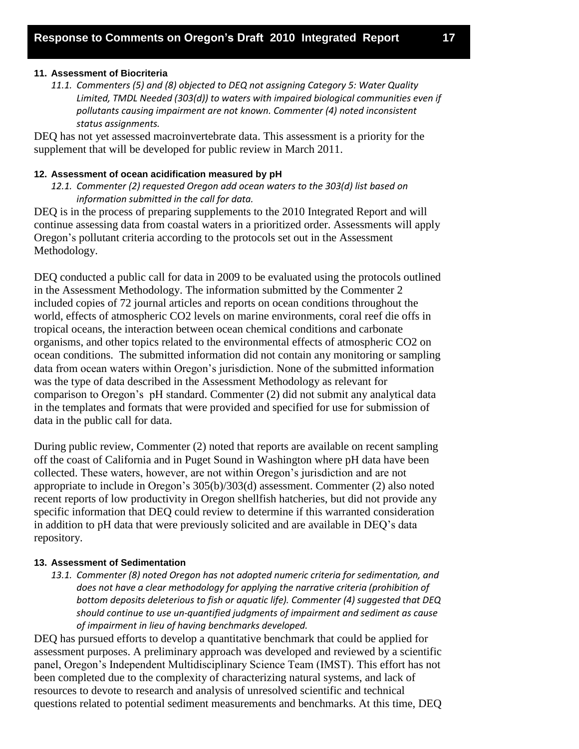#### <span id="page-19-0"></span>**11. Assessment of Biocriteria**

*11.1. Commenters (5) and (8) objected to DEQ not assigning Category 5: Water Quality Limited, TMDL Needed (303(d)) to waters with impaired biological communities even if pollutants causing impairment are not known. Commenter (4) noted inconsistent status assignments.*

DEQ has not yet assessed macroinvertebrate data. This assessment is a priority for the supplement that will be developed for public review in March 2011.

#### <span id="page-19-1"></span>**12. Assessment of ocean acidification measured by pH**

*12.1. Commenter (2) requested Oregon add ocean waters to the 303(d) list based on information submitted in the call for data.*

DEQ is in the process of preparing supplements to the 2010 Integrated Report and will continue assessing data from coastal waters in a prioritized order. Assessments will apply Oregon's pollutant criteria according to the protocols set out in the Assessment Methodology.

DEQ conducted a public call for data in 2009 to be evaluated using the protocols outlined in the Assessment Methodology. The information submitted by the Commenter 2 included copies of 72 journal articles and reports on ocean conditions throughout the world, effects of atmospheric CO2 levels on marine environments, coral reef die offs in tropical oceans, the interaction between ocean chemical conditions and carbonate organisms, and other topics related to the environmental effects of atmospheric CO2 on ocean conditions. The submitted information did not contain any monitoring or sampling data from ocean waters within Oregon's jurisdiction. None of the submitted information was the type of data described in the Assessment Methodology as relevant for comparison to Oregon's pH standard. Commenter (2) did not submit any analytical data in the templates and formats that were provided and specified for use for submission of data in the public call for data.

During public review, Commenter (2) noted that reports are available on recent sampling off the coast of California and in Puget Sound in Washington where pH data have been collected. These waters, however, are not within Oregon's jurisdiction and are not appropriate to include in Oregon's 305(b)/303(d) assessment. Commenter (2) also noted recent reports of low productivity in Oregon shellfish hatcheries, but did not provide any specific information that DEQ could review to determine if this warranted consideration in addition to pH data that were previously solicited and are available in DEQ's data repository.

#### <span id="page-19-2"></span>**13. Assessment of Sedimentation**

*13.1. Commenter (8) noted Oregon has not adopted numeric criteria for sedimentation, and does not have a clear methodology for applying the narrative criteria (prohibition of bottom deposits deleterious to fish or aquatic life). Commenter (4) suggested that DEQ should continue to use un-quantified judgments of impairment and sediment as cause of impairment in lieu of having benchmarks developed.* 

DEQ has pursued efforts to develop a quantitative benchmark that could be applied for assessment purposes. A preliminary approach was developed and reviewed by a scientific panel, Oregon's Independent Multidisciplinary Science Team (IMST). This effort has not been completed due to the complexity of characterizing natural systems, and lack of resources to devote to research and analysis of unresolved scientific and technical questions related to potential sediment measurements and benchmarks. At this time, DEQ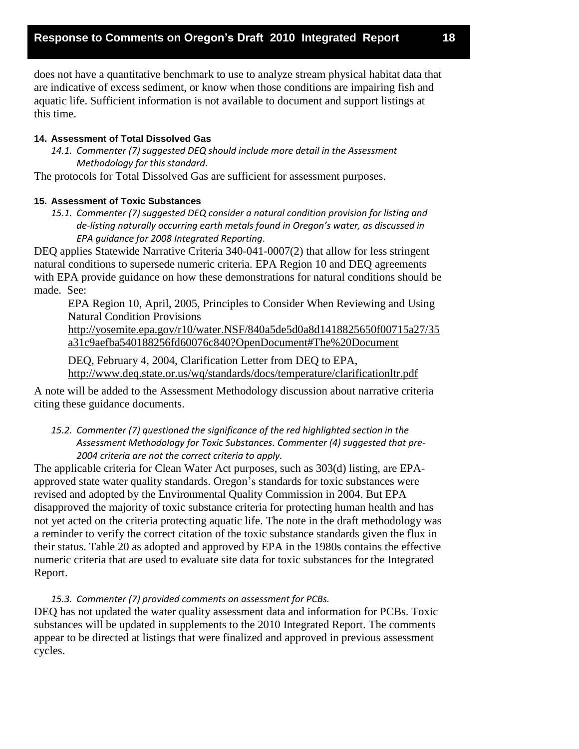does not have a quantitative benchmark to use to analyze stream physical habitat data that are indicative of excess sediment, or know when those conditions are impairing fish and aquatic life. Sufficient information is not available to document and support listings at this time.

#### <span id="page-20-0"></span>**14. Assessment of Total Dissolved Gas**

*14.1. Commenter (7) suggested DEQ should include more detail in the Assessment Methodology for this standard*.

The protocols for Total Dissolved Gas are sufficient for assessment purposes.

#### <span id="page-20-1"></span>**15. Assessment of Toxic Substances**

*15.1. Commenter (7) suggested DEQ consider a natural condition provision for listing and de-listing naturally occurring earth metals found in Oregon's water, as discussed in EPA guidance for 2008 Integrated Reporting*.

DEQ applies Statewide Narrative Criteria 340-041-0007(2) that allow for less stringent natural conditions to supersede numeric criteria. EPA Region 10 and DEQ agreements with EPA provide guidance on how these demonstrations for natural conditions should be made. See:

EPA Region 10, April, 2005, Principles to Consider When Reviewing and Using Natural Condition Provisions

[http://yosemite.epa.gov/r10/water.NSF/840a5de5d0a8d1418825650f00715a27/35](http://yosemite.epa.gov/r10/water.NSF/840a5de5d0a8d1418825650f00715a27/35a31c9aefba540188256fd60076c840?OpenDocument#The%20Document) [a31c9aefba540188256fd60076c840?OpenDocument#The%20Document](http://yosemite.epa.gov/r10/water.NSF/840a5de5d0a8d1418825650f00715a27/35a31c9aefba540188256fd60076c840?OpenDocument#The%20Document)

DEQ, February 4, 2004, Clarification Letter from DEQ to EPA, <http://www.deq.state.or.us/wq/standards/docs/temperature/clarificationltr.pdf>

A note will be added to the Assessment Methodology discussion about narrative criteria citing these guidance documents.

*15.2. Commenter (7) questioned the significance of the red highlighted section in the Assessment Methodology for Toxic Substances. Commenter (4) suggested that pre-2004 criteria are not the correct criteria to apply.*

The applicable criteria for Clean Water Act purposes, such as 303(d) listing, are EPAapproved state water quality standards. Oregon's standards for toxic substances were revised and adopted by the Environmental Quality Commission in 2004. But EPA disapproved the majority of toxic substance criteria for protecting human health and has not yet acted on the criteria protecting aquatic life. The note in the draft methodology was a reminder to verify the correct citation of the toxic substance standards given the flux in their status. Table 20 as adopted and approved by EPA in the 1980s contains the effective numeric criteria that are used to evaluate site data for toxic substances for the Integrated Report.

#### *15.3. Commenter (7) provided comments on assessment for PCBs.*

DEQ has not updated the water quality assessment data and information for PCBs. Toxic substances will be updated in supplements to the 2010 Integrated Report. The comments appear to be directed at listings that were finalized and approved in previous assessment cycles.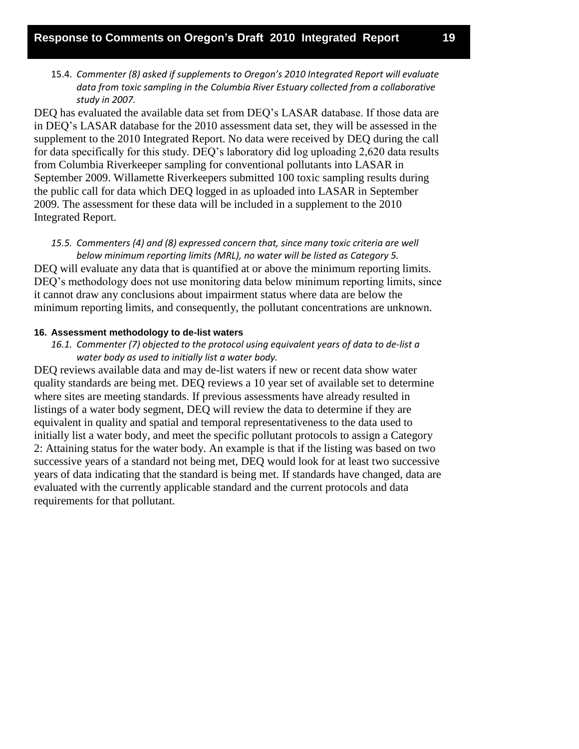15.4. *Commenter (8) asked if supplements to Oregon's 2010 Integrated Report will evaluate data from toxic sampling in the Columbia River Estuary collected from a collaborative study in 2007.*

DEQ has evaluated the available data set from DEQ's LASAR database. If those data are in DEQ's LASAR database for the 2010 assessment data set, they will be assessed in the supplement to the 2010 Integrated Report. No data were received by DEQ during the call for data specifically for this study. DEQ's laboratory did log uploading 2,620 data results from Columbia Riverkeeper sampling for conventional pollutants into LASAR in September 2009. Willamette Riverkeepers submitted 100 toxic sampling results during the public call for data which DEQ logged in as uploaded into LASAR in September 2009. The assessment for these data will be included in a supplement to the 2010 Integrated Report.

*15.5. Commenters (4) and (8) expressed concern that, since many toxic criteria are well below minimum reporting limits (MRL), no water will be listed as Category 5.* DEQ will evaluate any data that is quantified at or above the minimum reporting limits. DEQ's methodology does not use monitoring data below minimum reporting limits, since it cannot draw any conclusions about impairment status where data are below the minimum reporting limits, and consequently, the pollutant concentrations are unknown.

#### <span id="page-21-0"></span>**16. Assessment methodology to de-list waters**

#### *16.1. Commenter (7) objected to the protocol using equivalent years of data to de-list a water body as used to initially list a water body.*

DEQ reviews available data and may de-list waters if new or recent data show water quality standards are being met. DEQ reviews a 10 year set of available set to determine where sites are meeting standards. If previous assessments have already resulted in listings of a water body segment, DEQ will review the data to determine if they are equivalent in quality and spatial and temporal representativeness to the data used to initially list a water body, and meet the specific pollutant protocols to assign a Category 2: Attaining status for the water body. An example is that if the listing was based on two successive years of a standard not being met, DEQ would look for at least two successive years of data indicating that the standard is being met. If standards have changed, data are evaluated with the currently applicable standard and the current protocols and data requirements for that pollutant.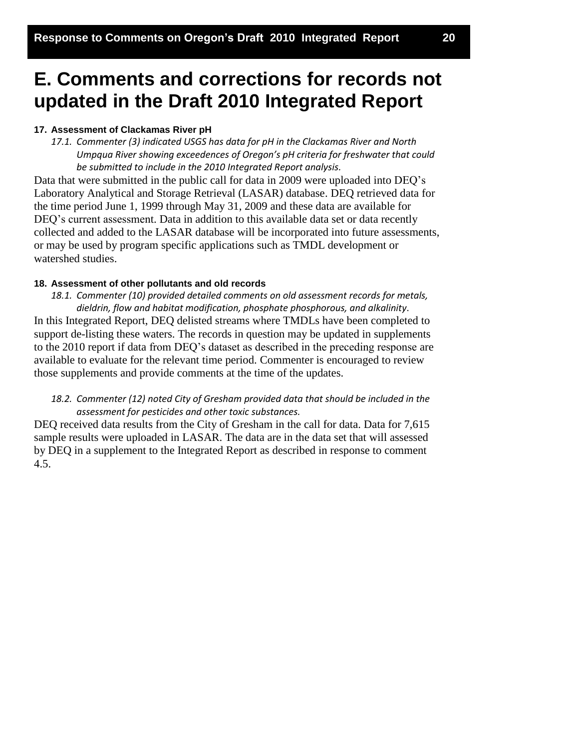## <span id="page-22-0"></span>**E. Comments and corrections for records not updated in the Draft 2010 Integrated Report**

#### <span id="page-22-1"></span>**17. Assessment of Clackamas River pH**

*17.1. Commenter (3) indicated USGS has data for pH in the Clackamas River and North Umpqua River showing exceedences of Oregon's pH criteria for freshwater that could be submitted to include in the 2010 Integrated Report analysis.*

Data that were submitted in the public call for data in 2009 were uploaded into DEQ's Laboratory Analytical and Storage Retrieval (LASAR) database. DEQ retrieved data for the time period June 1, 1999 through May 31, 2009 and these data are available for DEQ's current assessment. Data in addition to this available data set or data recently collected and added to the LASAR database will be incorporated into future assessments, or may be used by program specific applications such as TMDL development or watershed studies.

#### <span id="page-22-2"></span>**18. Assessment of other pollutants and old records**

*18.1. Commenter (10) provided detailed comments on old assessment records for metals, dieldrin, flow and habitat modification, phosphate phosphorous, and alkalinity*.

In this Integrated Report, DEQ delisted streams where TMDLs have been completed to support de-listing these waters. The records in question may be updated in supplements to the 2010 report if data from DEQ's dataset as described in the preceding response are available to evaluate for the relevant time period. Commenter is encouraged to review those supplements and provide comments at the time of the updates.

#### *18.2. Commenter (12) noted City of Gresham provided data that should be included in the assessment for pesticides and other toxic substances.*

DEQ received data results from the City of Gresham in the call for data. Data for 7,615 sample results were uploaded in LASAR. The data are in the data set that will assessed by DEQ in a supplement to the Integrated Report as described in response to comment 4.5.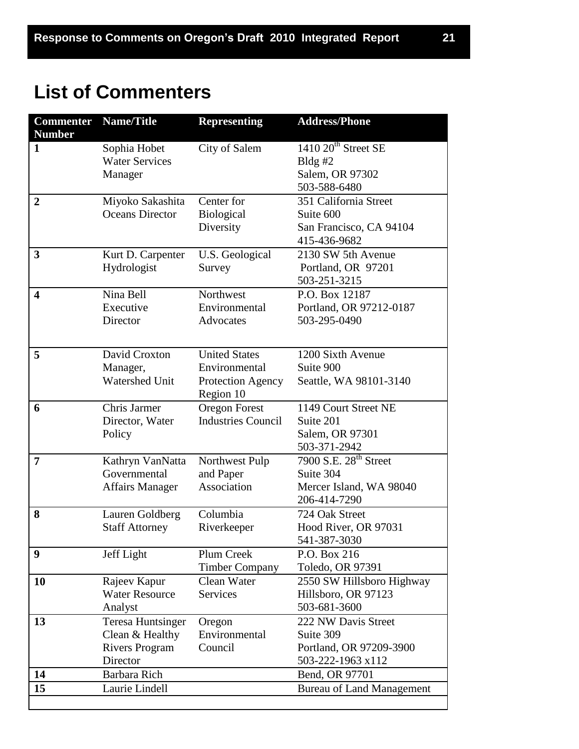# <span id="page-23-0"></span>**List of Commenters**

| <b>Commenter</b><br><b>Number</b> | <b>Name/Title</b>                 | <b>Representing</b>       | <b>Address/Phone</b>                         |
|-----------------------------------|-----------------------------------|---------------------------|----------------------------------------------|
| $\mathbf{1}$                      | Sophia Hobet                      | City of Salem             | $1410 \ 20$ <sup>th</sup> Street SE          |
|                                   | <b>Water Services</b>             |                           | Bldg $#2$                                    |
|                                   | Manager                           |                           | Salem, OR 97302                              |
|                                   |                                   |                           | 503-588-6480                                 |
| $\overline{2}$                    | Miyoko Sakashita                  | Center for                | 351 California Street                        |
|                                   | <b>Oceans Director</b>            | Biological                | Suite 600                                    |
|                                   |                                   | Diversity                 | San Francisco, CA 94104                      |
|                                   |                                   |                           | 415-436-9682                                 |
| 3                                 | Kurt D. Carpenter                 | U.S. Geological           | 2130 SW 5th Avenue                           |
|                                   | Hydrologist                       | Survey                    | Portland, OR 97201                           |
|                                   |                                   |                           | 503-251-3215                                 |
| $\overline{\mathbf{4}}$           | Nina Bell                         | Northwest                 | P.O. Box 12187                               |
|                                   | Executive                         | Environmental             | Portland, OR 97212-0187                      |
|                                   | Director                          | Advocates                 | 503-295-0490                                 |
|                                   |                                   |                           |                                              |
| 5                                 | David Croxton                     | <b>United States</b>      | 1200 Sixth Avenue                            |
|                                   | Manager,                          | Environmental             | Suite 900                                    |
|                                   | Watershed Unit                    | <b>Protection Agency</b>  | Seattle, WA 98101-3140                       |
|                                   |                                   | Region 10                 |                                              |
| 6                                 | Chris Jarmer                      | Oregon Forest             | 1149 Court Street NE                         |
|                                   | Director, Water                   | <b>Industries Council</b> | Suite 201                                    |
|                                   | Policy                            |                           | Salem, OR 97301                              |
|                                   |                                   |                           | 503-371-2942                                 |
| $\overline{7}$                    | Kathryn VanNatta                  | Northwest Pulp            | 7900 S.E. 28 <sup>th</sup> Street            |
|                                   | Governmental                      | and Paper                 | Suite 304                                    |
|                                   | <b>Affairs Manager</b>            | Association               | Mercer Island, WA 98040                      |
|                                   |                                   |                           | 206-414-7290                                 |
| 8                                 | Lauren Goldberg                   | Columbia                  | 724 Oak Street                               |
|                                   | <b>Staff Attorney</b>             | Riverkeeper               | Hood River, OR 97031                         |
|                                   |                                   |                           | 541-387-3030                                 |
| 9                                 | Jeff Light                        | Plum Creek                | P.O. Box 216                                 |
|                                   |                                   | <b>Timber Company</b>     | Toledo, OR 97391                             |
| <b>10</b>                         | Rajeev Kapur                      | Clean Water               | 2550 SW Hillsboro Highway                    |
|                                   | <b>Water Resource</b>             | Services                  | Hillsboro, OR 97123                          |
|                                   | Analyst                           |                           | 503-681-3600                                 |
| 13                                | Teresa Huntsinger                 | Oregon<br>Environmental   | 222 NW Davis Street<br>Suite 309             |
|                                   | Clean & Healthy                   |                           |                                              |
|                                   | <b>Rivers Program</b><br>Director | Council                   | Portland, OR 97209-3900<br>503-222-1963 x112 |
| 14                                |                                   |                           |                                              |
|                                   | Barbara Rich<br>Laurie Lindell    |                           | Bend, OR 97701                               |
| 15                                |                                   |                           | <b>Bureau of Land Management</b>             |